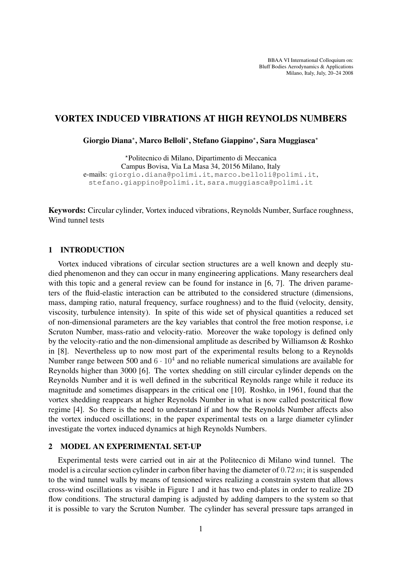BBAA VI International Colloquium on: Bluff Bodies Aerodynamics & Applications Milano, Italy, July, 20–24 2008

# VORTEX INDUCED VIBRATIONS AT HIGH REYNOLDS NUMBERS

Giorgio Diana\*, Marco Belloli\*, Stefano Giappino\*, Sara Muggiasca\*

?Politecnico di Milano, Dipartimento di Meccanica Campus Bovisa, Via La Masa 34, 20156 Milano, Italy e-mails: giorgio.diana@polimi.it, marco.belloli@polimi.it, stefano.giappino@polimi.it, sara.muggiasca@polimi.it

Keywords: Circular cylinder, Vortex induced vibrations, Reynolds Number, Surface roughness, Wind tunnel tests

#### 1 INTRODUCTION

Vortex induced vibrations of circular section structures are a well known and deeply studied phenomenon and they can occur in many engineering applications. Many researchers deal with this topic and a general review can be found for instance in [6, 7]. The driven parameters of the fluid-elastic interaction can be attributed to the considered structure (dimensions, mass, damping ratio, natural frequency, surface roughness) and to the fluid (velocity, density, viscosity, turbulence intensity). In spite of this wide set of physical quantities a reduced set of non-dimensional parameters are the key variables that control the free motion response, i.e Scruton Number, mass-ratio and velocity-ratio. Moreover the wake topology is defined only by the velocity-ratio and the non-dimensional amplitude as described by Williamson & Roshko in [8]. Nevertheless up to now most part of the experimental results belong to a Reynolds Number range between 500 and  $6 \cdot 10^4$  and no reliable numerical simulations are available for Reynolds higher than 3000 [6]. The vortex shedding on still circular cylinder depends on the Reynolds Number and it is well defined in the subcritical Reynolds range while it reduce its magnitude and sometimes disappears in the critical one [10]. Roshko, in 1961, found that the vortex shedding reappears at higher Reynolds Number in what is now called postcritical flow regime [4]. So there is the need to understand if and how the Reynolds Number affects also the vortex induced oscillations; in the paper experimental tests on a large diameter cylinder investigate the vortex induced dynamics at high Reynolds Numbers.

### 2 MODEL AN EXPERIMENTAL SET-UP

Experimental tests were carried out in air at the Politecnico di Milano wind tunnel. The model is a circular section cylinder in carbon fiber having the diameter of  $0.72 m$ ; it is suspended to the wind tunnel walls by means of tensioned wires realizing a constrain system that allows cross-wind oscillations as visible in Figure 1 and it has two end-plates in order to realize 2D flow conditions. The structural damping is adjusted by adding dampers to the system so that it is possible to vary the Scruton Number. The cylinder has several pressure taps arranged in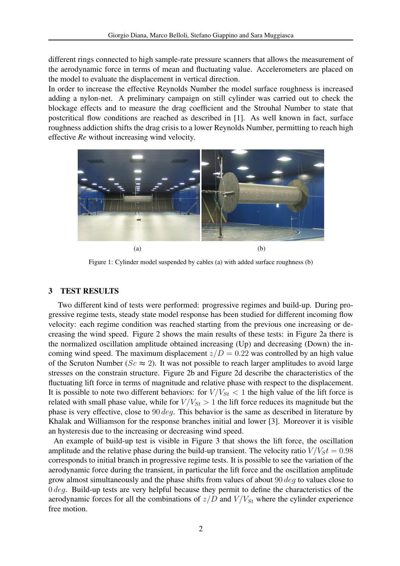different rings connected to high sample-rate pressure scanners that allows the measurement of the aerodynamic force in terms of mean and fluctuating value. Accelerometers are placed on the model to evaluate the displacement in vertical direction.

In order to increase the effective Reynolds Number the model surface roughness is increased adding a nylon-net. A preliminary campaign on still cylinder was carried out to check the blockage effects and to measure the drag coefficient and the Strouhal Number to state that postcritical flow conditions are reached as described in [1]. As well known in fact, surface roughness addiction shifts the drag crisis to a lower Reynolds Number, permitting to reach high effective *Re* without increasing wind velocity.



Figure 1: Cylinder model suspended by cables (a) with added surface roughness (b)

## 3 TEST RESULTS

Two different kind of tests were performed: progressive regimes and build-up. During progressive regime tests, steady state model response has been studied for different incoming flow velocity: each regime condition was reached starting from the previous one increasing or decreasing the wind speed. Figure 2 shows the main results of these tests: in Figure 2a there is the normalized oscillation amplitude obtained increasing (Up) and decreasing (Down) the incoming wind speed. The maximum displacement  $z/D = 0.22$  was controlled by an high value of the Scruton Number ( $Sc \approx 2$ ). It was not possible to reach larger amplitudes to avoid large stresses on the constrain structure. Figure 2b and Figure 2d describe the characteristics of the fluctuating lift force in terms of magnitude and relative phase with respect to the displacement. It is possible to note two different behaviors: for  $V/V_{St}$  < 1 the high value of the lift force is related with small phase value, while for  $V/V_{St} > 1$  the lift force reduces its magnitude but the phase is very effective, close to 90 deg. This behavior is the same as described in literature by Khalak and Williamson for the response branches initial and lower [3]. Moreover it is visible an hysteresis due to the increasing or decreasing wind speed.

An example of build-up test is visible in Figure 3 that shows the lift force, the oscillation amplitude and the relative phase during the build-up transient. The velocity ratio  $V/V<sub>S</sub>t = 0.98$ corresponds to initial branch in progressive regime tests. It is possible to see the variation of the aerodynamic force during the transient, in particular the lift force and the oscillation amplitude grow almost simultaneously and the phase shifts from values of about 90  $\deg$  to values close to  $0 \text{ deg.}$  Build-up tests are very helpful because they permit to define the characteristics of the aerodynamic forces for all the combinations of  $z/D$  and  $V/V_{St}$  where the cylinder experience free motion.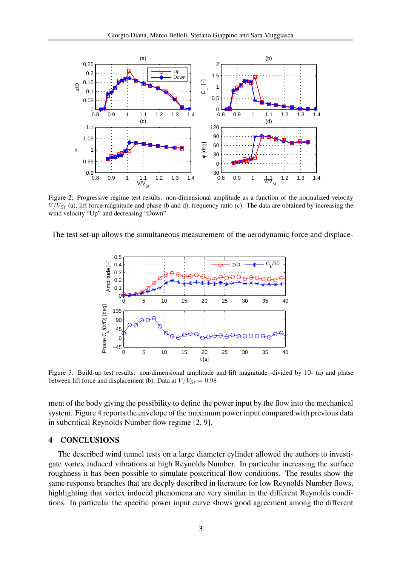

Figure 2: Progressive regime test results: non-dimensional amplitude as a function of the normalized velocity  $V/V_{St}$  (a), lift force magnitude and phase (b and d), frequency ratio (c). The data are obtained by increasing the wind velocity "Up" and decreasing "Down"

The test set-up allows the simultaneous measurement of the aerodynamic force and displace-



Figure 3: Build-up test results: non-dimensional amplitude and lift magnitude -divided by 10- (a) and phase between lift force and displacement (b). Data at  $V/V_{St} = 0.98$ 

ment of the body giving the possibility to define the power input by the flow into the mechanical system. Figure 4 reports the envelope of the maximum power input compared with previous data in subcritical Reynolds Number flow regime [2, 9].

### 4 CONCLUSIONS

The described wind tunnel tests on a large diameter cylinder allowed the authors to investigate vortex induced vibrations at high Reynolds Number. In particular increasing the surface roughness it has been possible to simulate postcritical flow conditions. The results show the same response branches that are deeply described in literature for low Reynolds Number flows, highlighting that vortex induced phenomena are very similar in the different Reynolds conditions. In particular the specific power input curve shows good agreement among the different